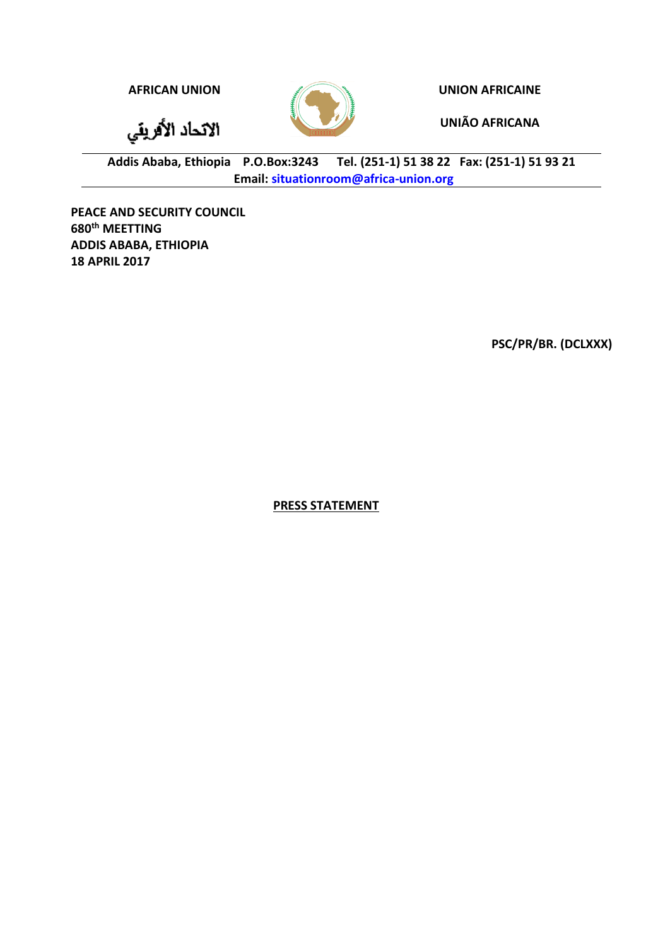الاتحاد الأفريقي

**AFRICAN UNION UNION AFRICAINE**

**UNIÃO AFRICANA**

**Addis Ababa, Ethiopia P.O.Box:3243 Tel. (251-1) 51 38 22 Fax: (251-1) 51 93 21 Email: [situationroom@africa-union.org](mailto:situationroom@africa-union.org)**

**PEACE AND SECURITY COUNCIL 680th MEETTING ADDIS ABABA, ETHIOPIA 18 APRIL 2017**

**PSC/PR/BR. (DCLXXX)**

**PRESS STATEMENT**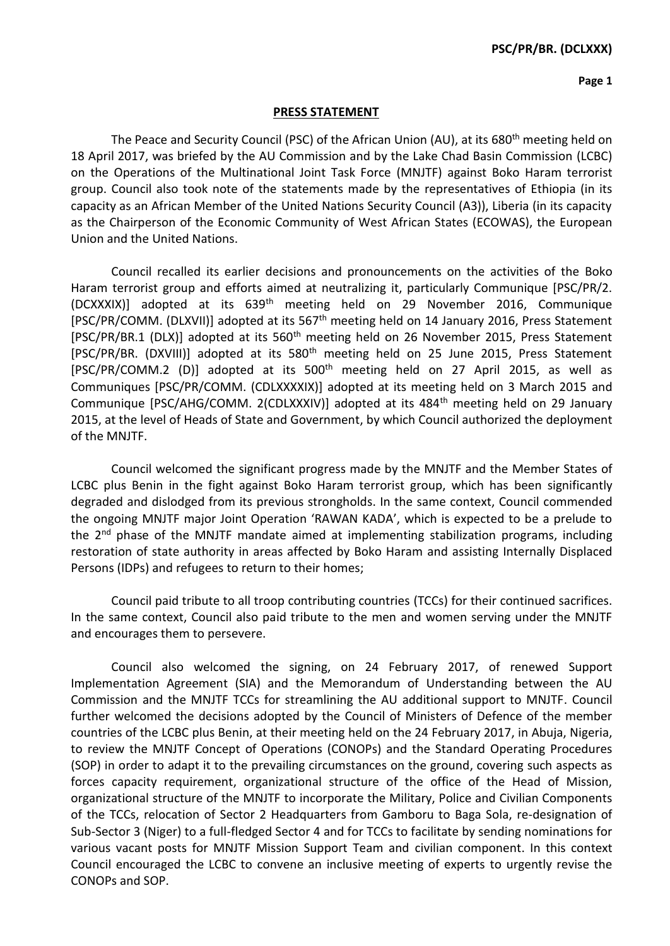## **Page 1**

## **PRESS STATEMENT**

The Peace and Security Council (PSC) of the African Union (AU), at its 680<sup>th</sup> meeting held on 18 April 2017, was briefed by the AU Commission and by the Lake Chad Basin Commission (LCBC) on the Operations of the Multinational Joint Task Force (MNJTF) against Boko Haram terrorist group. Council also took note of the statements made by the representatives of Ethiopia (in its capacity as an African Member of the United Nations Security Council (A3)), Liberia (in its capacity as the Chairperson of the Economic Community of West African States (ECOWAS), the European Union and the United Nations.

Council recalled its earlier decisions and pronouncements on the activities of the Boko Haram terrorist group and efforts aimed at neutralizing it, particularly Communique [PSC/PR/2. (DCXXXIX)] adopted at its 639th meeting held on 29 November 2016, Communique [PSC/PR/COMM. (DLXVII)] adopted at its 567<sup>th</sup> meeting held on 14 January 2016, Press Statement [PSC/PR/BR.1 (DLX)] adopted at its 560<sup>th</sup> meeting held on 26 November 2015, Press Statement [PSC/PR/BR. (DXVIII)] adopted at its 580<sup>th</sup> meeting held on 25 June 2015, Press Statement [PSC/PR/COMM.2 (D)] adopted at its 500<sup>th</sup> meeting held on 27 April 2015, as well as Communiques [PSC/PR/COMM. (CDLXXXXIX)] adopted at its meeting held on 3 March 2015 and Communique [PSC/AHG/COMM. 2(CDLXXXIV)] adopted at its 484th meeting held on 29 January 2015, at the level of Heads of State and Government, by which Council authorized the deployment of the MNJTF.

Council welcomed the significant progress made by the MNJTF and the Member States of LCBC plus Benin in the fight against Boko Haram terrorist group, which has been significantly degraded and dislodged from its previous strongholds. In the same context, Council commended the ongoing MNJTF major Joint Operation 'RAWAN KADA', which is expected to be a prelude to the  $2<sup>nd</sup>$  phase of the MNJTF mandate aimed at implementing stabilization programs, including restoration of state authority in areas affected by Boko Haram and assisting Internally Displaced Persons (IDPs) and refugees to return to their homes;

Council paid tribute to all troop contributing countries (TCCs) for their continued sacrifices. In the same context, Council also paid tribute to the men and women serving under the MNJTF and encourages them to persevere.

Council also welcomed the signing, on 24 February 2017, of renewed Support Implementation Agreement (SIA) and the Memorandum of Understanding between the AU Commission and the MNJTF TCCs for streamlining the AU additional support to MNJTF. Council further welcomed the decisions adopted by the Council of Ministers of Defence of the member countries of the LCBC plus Benin, at their meeting held on the 24 February 2017, in Abuja, Nigeria, to review the MNJTF Concept of Operations (CONOPs) and the Standard Operating Procedures (SOP) in order to adapt it to the prevailing circumstances on the ground, covering such aspects as forces capacity requirement, organizational structure of the office of the Head of Mission, organizational structure of the MNJTF to incorporate the Military, Police and Civilian Components of the TCCs, relocation of Sector 2 Headquarters from Gamboru to Baga Sola, re-designation of Sub-Sector 3 (Niger) to a full-fledged Sector 4 and for TCCs to facilitate by sending nominations for various vacant posts for MNJTF Mission Support Team and civilian component. In this context Council encouraged the LCBC to convene an inclusive meeting of experts to urgently revise the CONOPs and SOP.